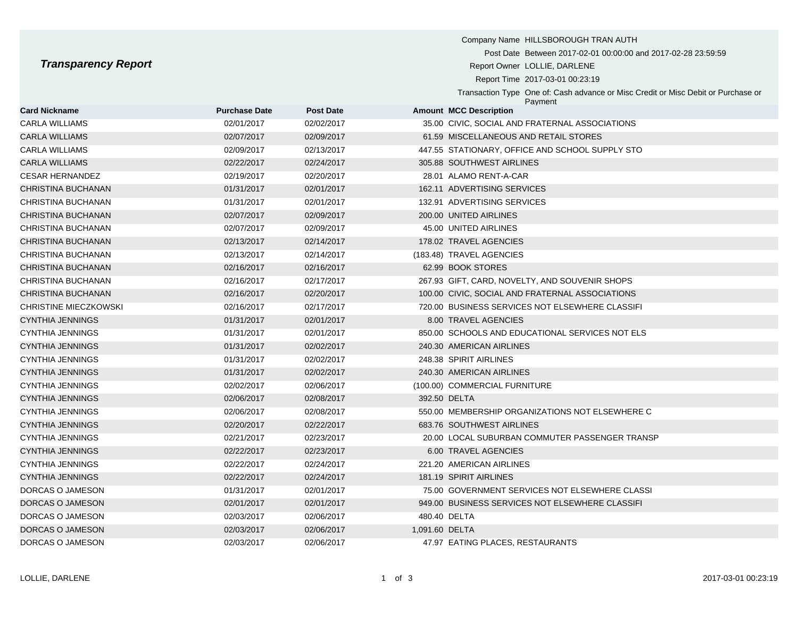## **Transparency Report**

|                              |                      |                  | Company Name HILLSBOROUGH TRAN AUTH                                                          |
|------------------------------|----------------------|------------------|----------------------------------------------------------------------------------------------|
|                              |                      |                  | Post Date Between 2017-02-01 00:00:00 and 2017-02-28 23:59:59                                |
| <b>Transparency Report</b>   |                      |                  | Report Owner LOLLIE, DARLENE                                                                 |
|                              |                      |                  | Report Time 2017-03-01 00:23:19                                                              |
|                              |                      |                  | Transaction Type One of: Cash advance or Misc Credit or Misc Debit or Purchase or<br>Payment |
| <b>Card Nickname</b>         | <b>Purchase Date</b> | <b>Post Date</b> | <b>Amount MCC Description</b>                                                                |
| <b>CARLA WILLIAMS</b>        | 02/01/2017           | 02/02/2017       | 35.00 CIVIC, SOCIAL AND FRATERNAL ASSOCIATIONS                                               |
| <b>CARLA WILLIAMS</b>        | 02/07/2017           | 02/09/2017       | 61.59 MISCELLANEOUS AND RETAIL STORES                                                        |
| <b>CARLA WILLIAMS</b>        | 02/09/2017           | 02/13/2017       | 447.55 STATIONARY, OFFICE AND SCHOOL SUPPLY STO                                              |
| <b>CARLA WILLIAMS</b>        | 02/22/2017           | 02/24/2017       | 305.88 SOUTHWEST AIRLINES                                                                    |
| <b>CESAR HERNANDEZ</b>       | 02/19/2017           | 02/20/2017       | 28.01 ALAMO RENT-A-CAR                                                                       |
| CHRISTINA BUCHANAN           | 01/31/2017           | 02/01/2017       | 162.11 ADVERTISING SERVICES                                                                  |
| CHRISTINA BUCHANAN           | 01/31/2017           | 02/01/2017       | 132.91 ADVERTISING SERVICES                                                                  |
| CHRISTINA BUCHANAN           | 02/07/2017           | 02/09/2017       | 200.00 UNITED AIRLINES                                                                       |
| CHRISTINA BUCHANAN           | 02/07/2017           | 02/09/2017       | 45.00 UNITED AIRLINES                                                                        |
| CHRISTINA BUCHANAN           | 02/13/2017           | 02/14/2017       | 178.02 TRAVEL AGENCIES                                                                       |
| CHRISTINA BUCHANAN           | 02/13/2017           | 02/14/2017       | (183.48) TRAVEL AGENCIES                                                                     |
| CHRISTINA BUCHANAN           | 02/16/2017           | 02/16/2017       | 62.99 BOOK STORES                                                                            |
| CHRISTINA BUCHANAN           | 02/16/2017           | 02/17/2017       | 267.93 GIFT, CARD, NOVELTY, AND SOUVENIR SHOPS                                               |
| CHRISTINA BUCHANAN           | 02/16/2017           | 02/20/2017       | 100.00 CIVIC, SOCIAL AND FRATERNAL ASSOCIATIONS                                              |
| <b>CHRISTINE MIECZKOWSKI</b> | 02/16/2017           | 02/17/2017       | 720.00 BUSINESS SERVICES NOT ELSEWHERE CLASSIFI                                              |
| CYNTHIA JENNINGS             | 01/31/2017           | 02/01/2017       | 8.00 TRAVEL AGENCIES                                                                         |
| <b>CYNTHIA JENNINGS</b>      | 01/31/2017           | 02/01/2017       | 850.00 SCHOOLS AND EDUCATIONAL SERVICES NOT ELS                                              |
| <b>CYNTHIA JENNINGS</b>      | 01/31/2017           | 02/02/2017       | 240.30 AMERICAN AIRLINES                                                                     |
| <b>CYNTHIA JENNINGS</b>      | 01/31/2017           | 02/02/2017       | 248.38 SPIRIT AIRLINES                                                                       |

| <b>CARLA WILLIAMS</b>   | 02/07/2017 | 02/09/2017 |                | 61.59 MISCELLANEOUS AND RETAIL STORES           |
|-------------------------|------------|------------|----------------|-------------------------------------------------|
| CARLA WILLIAMS          | 02/09/2017 | 02/13/2017 |                | 447.55 STATIONARY, OFFICE AND SCHOOL SUPPLY STO |
| CARLA WILLIAMS          | 02/22/2017 | 02/24/2017 |                | 305.88 SOUTHWEST AIRLINES                       |
| CESAR HERNANDEZ         | 02/19/2017 | 02/20/2017 |                | 28.01 ALAMO RENT-A-CAR                          |
| CHRISTINA BUCHANAN      | 01/31/2017 | 02/01/2017 |                | 162.11 ADVERTISING SERVICES                     |
| CHRISTINA BUCHANAN      | 01/31/2017 | 02/01/2017 |                | 132.91 ADVERTISING SERVICES                     |
| CHRISTINA BUCHANAN      | 02/07/2017 | 02/09/2017 |                | 200.00 UNITED AIRLINES                          |
| CHRISTINA BUCHANAN      | 02/07/2017 | 02/09/2017 |                | 45.00 UNITED AIRLINES                           |
| CHRISTINA BUCHANAN      | 02/13/2017 | 02/14/2017 |                | 178.02 TRAVEL AGENCIES                          |
| CHRISTINA BUCHANAN      | 02/13/2017 | 02/14/2017 |                | (183.48) TRAVEL AGENCIES                        |
| CHRISTINA BUCHANAN      | 02/16/2017 | 02/16/2017 |                | 62.99 BOOK STORES                               |
| CHRISTINA BUCHANAN      | 02/16/2017 | 02/17/2017 |                | 267.93 GIFT, CARD, NOVELTY, AND SOUVENIR SHOPS  |
| CHRISTINA BUCHANAN      | 02/16/2017 | 02/20/2017 |                | 100.00 CIVIC, SOCIAL AND FRATERNAL ASSOCIATIONS |
| CHRISTINE MIECZKOWSKI   | 02/16/2017 | 02/17/2017 |                | 720.00 BUSINESS SERVICES NOT ELSEWHERE CLASSIFI |
| <b>CYNTHIA JENNINGS</b> | 01/31/2017 | 02/01/2017 |                | 8.00 TRAVEL AGENCIES                            |
| CYNTHIA JENNINGS        | 01/31/2017 | 02/01/2017 |                | 850.00 SCHOOLS AND EDUCATIONAL SERVICES NOT ELS |
| CYNTHIA JENNINGS        | 01/31/2017 | 02/02/2017 |                | 240.30 AMERICAN AIRLINES                        |
| CYNTHIA JENNINGS        | 01/31/2017 | 02/02/2017 |                | 248.38 SPIRIT AIRLINES                          |
| <b>CYNTHIA JENNINGS</b> | 01/31/2017 | 02/02/2017 |                | 240.30 AMERICAN AIRLINES                        |
| CYNTHIA JENNINGS        | 02/02/2017 | 02/06/2017 |                | (100.00) COMMERCIAL FURNITURE                   |
| <b>CYNTHIA JENNINGS</b> | 02/06/2017 | 02/08/2017 |                | 392.50 DELTA                                    |
| CYNTHIA JENNINGS        | 02/06/2017 | 02/08/2017 |                | 550.00 MEMBERSHIP ORGANIZATIONS NOT ELSEWHERE C |
| CYNTHIA JENNINGS        | 02/20/2017 | 02/22/2017 |                | 683.76 SOUTHWEST AIRLINES                       |
| CYNTHIA JENNINGS        | 02/21/2017 | 02/23/2017 |                | 20.00 LOCAL SUBURBAN COMMUTER PASSENGER TRANSP  |
| <b>CYNTHIA JENNINGS</b> | 02/22/2017 | 02/23/2017 |                | 6.00 TRAVEL AGENCIES                            |
| CYNTHIA JENNINGS        | 02/22/2017 | 02/24/2017 |                | 221.20 AMERICAN AIRLINES                        |
| <b>CYNTHIA JENNINGS</b> | 02/22/2017 | 02/24/2017 |                | 181.19 SPIRIT AIRLINES                          |
| DORCAS O JAMESON        | 01/31/2017 | 02/01/2017 |                | 75.00 GOVERNMENT SERVICES NOT ELSEWHERE CLASSI  |
| DORCAS O JAMESON        | 02/01/2017 | 02/01/2017 |                | 949.00 BUSINESS SERVICES NOT ELSEWHERE CLASSIFI |
| DORCAS O JAMESON        | 02/03/2017 | 02/06/2017 |                | 480.40 DELTA                                    |
| DORCAS O JAMESON        | 02/03/2017 | 02/06/2017 | 1,091.60 DELTA |                                                 |
| DORCAS O JAMESON        | 02/03/2017 | 02/06/2017 |                | 47.97 EATING PLACES. RESTAURANTS                |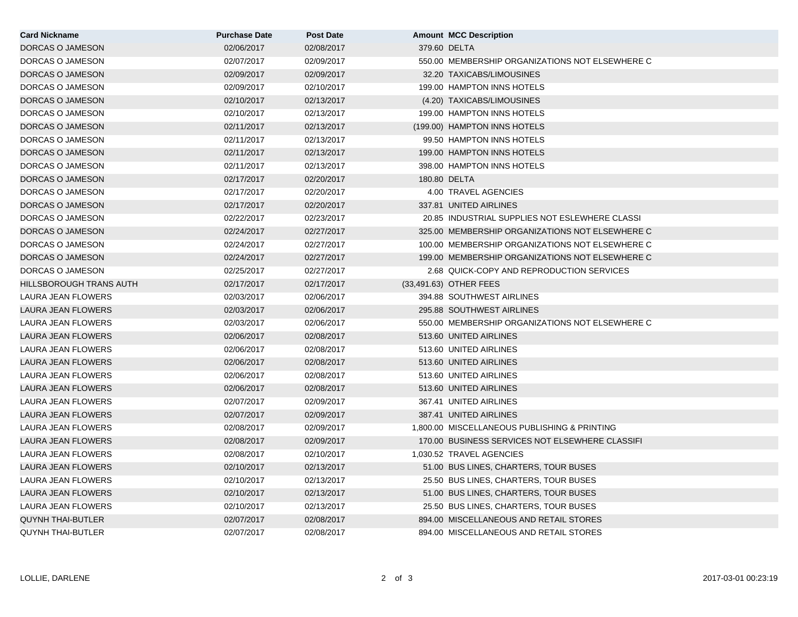| <b>Card Nickname</b>      | <b>Purchase Date</b> | <b>Post Date</b> | <b>Amount MCC Description</b>                   |
|---------------------------|----------------------|------------------|-------------------------------------------------|
| DORCAS O JAMESON          | 02/06/2017           | 02/08/2017       | 379.60 DELTA                                    |
| DORCAS O JAMESON          | 02/07/2017           | 02/09/2017       | 550.00 MEMBERSHIP ORGANIZATIONS NOT ELSEWHERE C |
| DORCAS O JAMESON          | 02/09/2017           | 02/09/2017       | 32.20 TAXICABS/LIMOUSINES                       |
| DORCAS O JAMESON          | 02/09/2017           | 02/10/2017       | 199.00 HAMPTON INNS HOTELS                      |
| DORCAS O JAMESON          | 02/10/2017           | 02/13/2017       | (4.20) TAXICABS/LIMOUSINES                      |
| DORCAS O JAMESON          | 02/10/2017           | 02/13/2017       | 199.00 HAMPTON INNS HOTELS                      |
| DORCAS O JAMESON          | 02/11/2017           | 02/13/2017       | (199.00) HAMPTON INNS HOTELS                    |
| DORCAS O JAMESON          | 02/11/2017           | 02/13/2017       | 99.50 HAMPTON INNS HOTELS                       |
| DORCAS O JAMESON          | 02/11/2017           | 02/13/2017       | 199.00 HAMPTON INNS HOTELS                      |
| DORCAS O JAMESON          | 02/11/2017           | 02/13/2017       | 398.00 HAMPTON INNS HOTELS                      |
| DORCAS O JAMESON          | 02/17/2017           | 02/20/2017       | 180.80 DELTA                                    |
| DORCAS O JAMESON          | 02/17/2017           | 02/20/2017       | 4.00 TRAVEL AGENCIES                            |
| DORCAS O JAMESON          | 02/17/2017           | 02/20/2017       | 337.81 UNITED AIRLINES                          |
| DORCAS O JAMESON          | 02/22/2017           | 02/23/2017       | 20.85 INDUSTRIAL SUPPLIES NOT ESLEWHERE CLASSI  |
| DORCAS O JAMESON          | 02/24/2017           | 02/27/2017       | 325.00 MEMBERSHIP ORGANIZATIONS NOT ELSEWHERE C |
| DORCAS O JAMESON          | 02/24/2017           | 02/27/2017       | 100.00 MEMBERSHIP ORGANIZATIONS NOT ELSEWHERE C |
| DORCAS O JAMESON          | 02/24/2017           | 02/27/2017       | 199.00 MEMBERSHIP ORGANIZATIONS NOT ELSEWHERE C |
| DORCAS O JAMESON          | 02/25/2017           | 02/27/2017       | 2.68 QUICK-COPY AND REPRODUCTION SERVICES       |
| HILLSBOROUGH TRANS AUTH   | 02/17/2017           | 02/17/2017       | (33,491.63) OTHER FEES                          |
| LAURA JEAN FLOWERS        | 02/03/2017           | 02/06/2017       | 394.88 SOUTHWEST AIRLINES                       |
| LAURA JEAN FLOWERS        | 02/03/2017           | 02/06/2017       | 295.88 SOUTHWEST AIRLINES                       |
| LAURA JEAN FLOWERS        | 02/03/2017           | 02/06/2017       | 550.00 MEMBERSHIP ORGANIZATIONS NOT ELSEWHERE C |
| LAURA JEAN FLOWERS        | 02/06/2017           | 02/08/2017       | 513.60 UNITED AIRLINES                          |
| LAURA JEAN FLOWERS        | 02/06/2017           | 02/08/2017       | 513.60 UNITED AIRLINES                          |
| LAURA JEAN FLOWERS        | 02/06/2017           | 02/08/2017       | 513.60 UNITED AIRLINES                          |
| LAURA JEAN FLOWERS        | 02/06/2017           | 02/08/2017       | 513.60 UNITED AIRLINES                          |
| LAURA JEAN FLOWERS        | 02/06/2017           | 02/08/2017       | 513.60 UNITED AIRLINES                          |
| LAURA JEAN FLOWERS        | 02/07/2017           | 02/09/2017       | 367.41 UNITED AIRLINES                          |
| LAURA JEAN FLOWERS        | 02/07/2017           | 02/09/2017       | 387.41 UNITED AIRLINES                          |
| LAURA JEAN FLOWERS        | 02/08/2017           | 02/09/2017       | 1,800.00 MISCELLANEOUS PUBLISHING & PRINTING    |
| LAURA JEAN FLOWERS        | 02/08/2017           | 02/09/2017       | 170.00 BUSINESS SERVICES NOT ELSEWHERE CLASSIFI |
| LAURA JEAN FLOWERS        | 02/08/2017           | 02/10/2017       | 1.030.52 TRAVEL AGENCIES                        |
| LAURA JEAN FLOWERS        | 02/10/2017           | 02/13/2017       | 51.00 BUS LINES, CHARTERS, TOUR BUSES           |
| LAURA JEAN FLOWERS        | 02/10/2017           | 02/13/2017       | 25.50 BUS LINES, CHARTERS, TOUR BUSES           |
| <b>LAURA JEAN FLOWERS</b> | 02/10/2017           | 02/13/2017       | 51.00 BUS LINES, CHARTERS, TOUR BUSES           |
| LAURA JEAN FLOWERS        | 02/10/2017           | 02/13/2017       | 25.50 BUS LINES, CHARTERS, TOUR BUSES           |
| <b>QUYNH THAI-BUTLER</b>  | 02/07/2017           | 02/08/2017       | 894.00 MISCELLANEOUS AND RETAIL STORES          |
| <b>QUYNH THAI-BUTLER</b>  | 02/07/2017           | 02/08/2017       | 894.00 MISCELLANEOUS AND RETAIL STORES          |